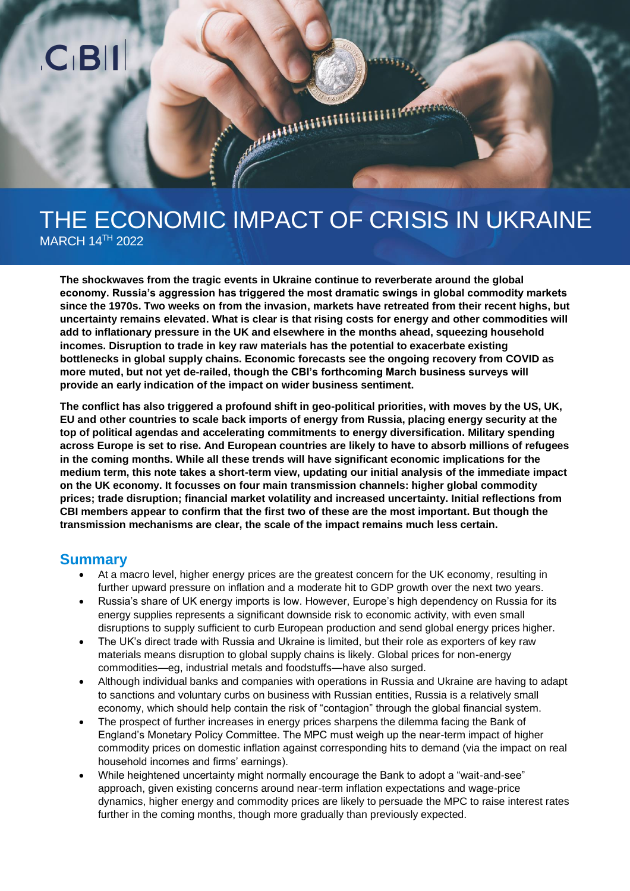# THE ECONOMIC IMPACT OF CRISIS IN UKRAINE MARCH 14 TH 2022

MARITIMINI

**The shockwaves from the tragic events in Ukraine continue to reverberate around the global economy. Russia's aggression has triggered the most dramatic swings in global commodity markets since the 1970s. Two weeks on from the invasion, markets have retreated from their recent highs, but uncertainty remains elevated. What is clear is that rising costs for energy and other commodities will add to inflationary pressure in the UK and elsewhere in the months ahead, squeezing household incomes. Disruption to trade in key raw materials has the potential to exacerbate existing bottlenecks in global supply chains. Economic forecasts see the ongoing recovery from COVID as more muted, but not yet de-railed, though the CBI's forthcoming March business surveys will provide an early indication of the impact on wider business sentiment.** 

**The conflict has also triggered a profound shift in geo-political priorities, with moves by the US, UK, EU and other countries to scale back imports of energy from Russia, placing energy security at the top of political agendas and accelerating commitments to energy diversification. Military spending across Europe is set to rise. And European countries are likely to have to absorb millions of refugees in the coming months. While all these trends will have significant economic implications for the medium term, this note takes a short-term view, updating our initial analysis of the immediate impact on the UK economy. It focusses on four main transmission channels: higher global commodity prices; trade disruption; financial market volatility and increased uncertainty. Initial reflections from CBI members appear to confirm that the first two of these are the most important. But though the transmission mechanisms are clear, the scale of the impact remains much less certain.**

## **Summary**

- At a macro level, higher energy prices are the greatest concern for the UK economy, resulting in further upward pressure on inflation and a moderate hit to GDP growth over the next two years.
- Russia's share of UK energy imports is low. However, Europe's high dependency on Russia for its energy supplies represents a significant downside risk to economic activity, with even small disruptions to supply sufficient to curb European production and send global energy prices higher.
- The UK's direct trade with Russia and Ukraine is limited, but their role as exporters of key raw materials means disruption to global supply chains is likely. Global prices for non-energy commodities—eg, industrial metals and foodstuffs—have also surged.
- Although individual banks and companies with operations in Russia and Ukraine are having to adapt to sanctions and voluntary curbs on business with Russian entities, Russia is a relatively small economy, which should help contain the risk of "contagion" through the global financial system.
- The prospect of further increases in energy prices sharpens the dilemma facing the Bank of England's Monetary Policy Committee. The MPC must weigh up the near-term impact of higher commodity prices on domestic inflation against corresponding hits to demand (via the impact on real household incomes and firms' earnings).
- While heightened uncertainty might normally encourage the Bank to adopt a "wait-and-see" approach, given existing concerns around near-term inflation expectations and wage-price dynamics, higher energy and commodity prices are likely to persuade the MPC to raise interest rates further in the coming months, though more gradually than previously expected.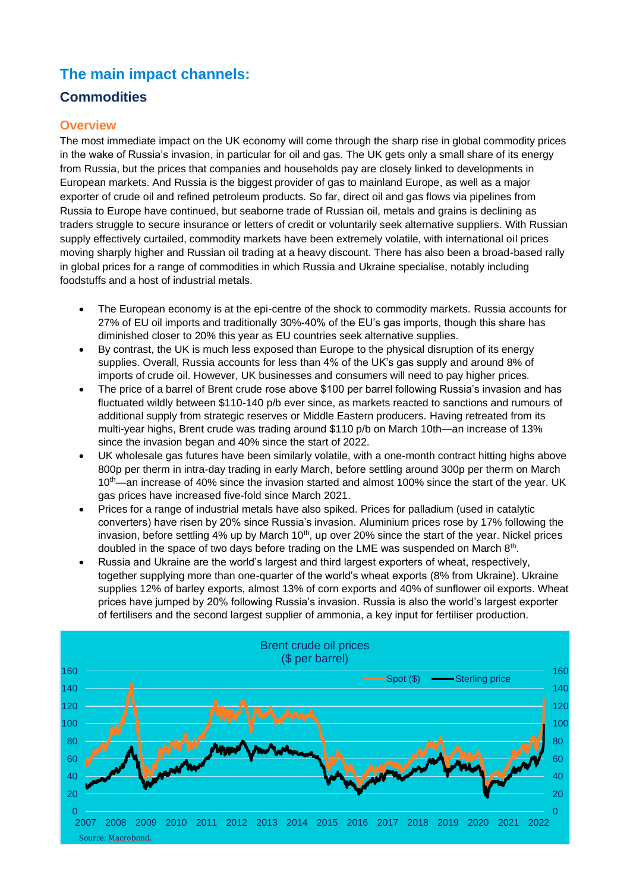# **The main impact channels:**

# **Commodities**

### **Overview**

The most immediate impact on the UK economy will come through the sharp rise in global commodity prices in the wake of Russia's invasion, in particular for oil and gas. The UK gets only a small share of its energy from Russia, but the prices that companies and households pay are closely linked to developments in European markets. And Russia is the biggest provider of gas to mainland Europe, as well as a major exporter of crude oil and refined petroleum products. So far, direct oil and gas flows via pipelines from Russia to Europe have continued, but seaborne trade of Russian oil, metals and grains is declining as traders struggle to secure insurance or letters of credit or voluntarily seek alternative suppliers. With Russian supply effectively curtailed, commodity markets have been extremely volatile, with international oil prices moving sharply higher and Russian oil trading at a heavy discount. There has also been a broad-based rally in global prices for a range of commodities in which Russia and Ukraine specialise, notably including foodstuffs and a host of industrial metals.

- The European economy is at the epi-centre of the shock to commodity markets. Russia accounts for 27% of EU oil imports and traditionally 30%-40% of the EU's gas imports, though this share has diminished closer to 20% this year as EU countries seek alternative supplies.
- By contrast, the UK is much less exposed than Europe to the physical disruption of its energy supplies. Overall, Russia accounts for less than 4% of the UK's gas supply and around 8% of imports of crude oil. However, UK businesses and consumers will need to pay higher prices.
- The price of a barrel of Brent crude rose above \$100 per barrel following Russia's invasion and has fluctuated wildly between \$110-140 p/b ever since, as markets reacted to sanctions and rumours of additional supply from strategic reserves or Middle Eastern producers. Having retreated from its multi-year highs, Brent crude was trading around \$110 p/b on March 10th—an increase of 13% since the invasion began and 40% since the start of 2022.
- UK wholesale gas futures have been similarly volatile, with a one-month contract hitting highs above 800p per therm in intra-day trading in early March, before settling around 300p per therm on March 10<sup>th</sup>—an increase of 40% since the invasion started and almost 100% since the start of the year. UK gas prices have increased five-fold since March 2021.
- Prices for a range of industrial metals have also spiked. Prices for palladium (used in catalytic converters) have risen by 20% since Russia's invasion. Aluminium prices rose by 17% following the invasion, before settling 4% up by March 10<sup>th</sup>, up over 20% since the start of the year. Nickel prices doubled in the space of two days before trading on the LME was suspended on March  $8<sup>th</sup>$ .
- Russia and Ukraine are the world's largest and third largest exporters of wheat, respectively, together supplying more than one-quarter of the world's wheat exports (8% from Ukraine). Ukraine supplies 12% of barley exports, almost 13% of corn exports and 40% of sunflower oil exports. Wheat prices have jumped by 20% following Russia's invasion. Russia is also the world's largest exporter of fertilisers and the second largest supplier of ammonia, a key input for fertiliser production.

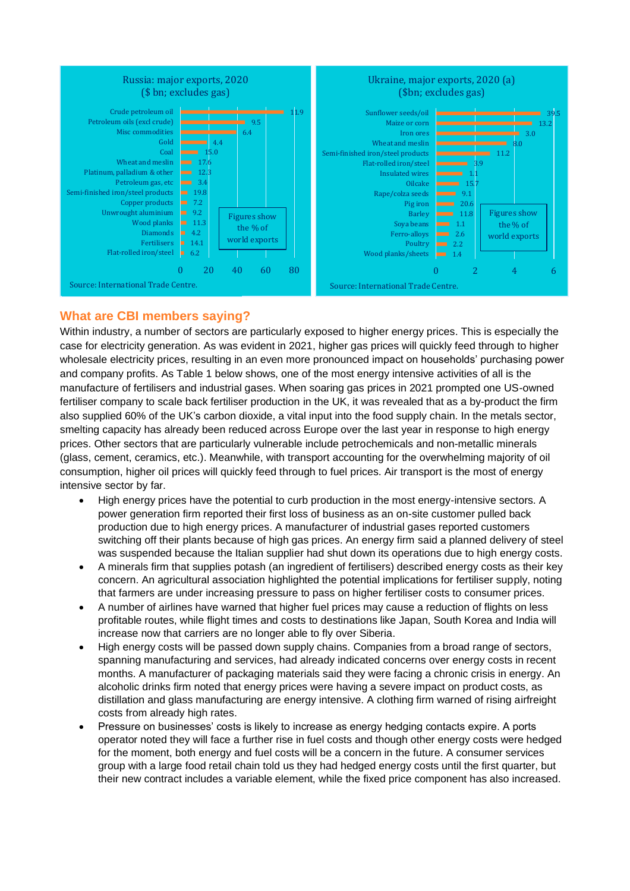

#### **What are CBI members saying?**

Within industry, a number of sectors are particularly exposed to higher energy prices. This is especially the case for electricity generation. As was evident in 2021, higher gas prices will quickly feed through to higher wholesale electricity prices, resulting in an even more pronounced impact on households' purchasing power and company profits. As Table 1 below shows, one of the most energy intensive activities of all is the manufacture of fertilisers and industrial gases. When soaring gas prices in 2021 prompted one US-owned fertiliser company to scale back fertiliser production in the UK, it was revealed that as a by-product the firm also supplied 60% of the UK's carbon dioxide, a vital input into the food supply chain. In the metals sector, smelting capacity has already been reduced across Europe over the last year in response to high energy prices. Other sectors that are particularly vulnerable include petrochemicals and non-metallic minerals (glass, cement, ceramics, etc.). Meanwhile, with transport accounting for the overwhelming majority of oil consumption, higher oil prices will quickly feed through to fuel prices. Air transport is the most of energy intensive sector by far.

- High energy prices have the potential to curb production in the most energy-intensive sectors. A power generation firm reported their first loss of business as an on-site customer pulled back production due to high energy prices. A manufacturer of industrial gases reported customers switching off their plants because of high gas prices. An energy firm said a planned delivery of steel was suspended because the Italian supplier had shut down its operations due to high energy costs.
- A minerals firm that supplies potash (an ingredient of fertilisers) described energy costs as their key concern. An agricultural association highlighted the potential implications for fertiliser supply, noting that farmers are under increasing pressure to pass on higher fertiliser costs to consumer prices.
- A number of airlines have warned that higher fuel prices may cause a reduction of flights on less profitable routes, while flight times and costs to destinations like Japan, South Korea and India will increase now that carriers are no longer able to fly over Siberia.
- High energy costs will be passed down supply chains. Companies from a broad range of sectors, spanning manufacturing and services, had already indicated concerns over energy costs in recent months. A manufacturer of packaging materials said they were facing a chronic crisis in energy. An alcoholic drinks firm noted that energy prices were having a severe impact on product costs, as distillation and glass manufacturing are energy intensive. A clothing firm warned of rising airfreight costs from already high rates.
- Pressure on businesses' costs is likely to increase as energy hedging contacts expire. A ports operator noted they will face a further rise in fuel costs and though other energy costs were hedged for the moment, both energy and fuel costs will be a concern in the future. A consumer services group with a large food retail chain told us they had hedged energy costs until the first quarter, but their new contract includes a variable element, while the fixed price component has also increased.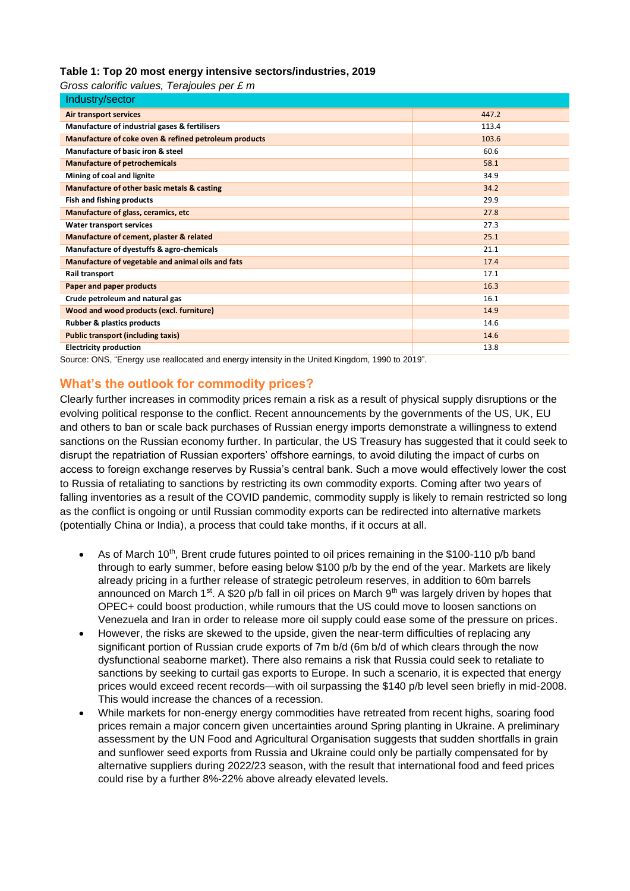#### **Table 1: Top 20 most energy intensive sectors/industries, 2019**

*Gross calorific values, Terajoules per £ m*

| Industry/sector                                       |       |
|-------------------------------------------------------|-------|
| Air transport services                                | 447.2 |
| Manufacture of industrial gases & fertilisers         | 113.4 |
| Manufacture of coke oven & refined petroleum products | 103.6 |
| Manufacture of basic iron & steel                     | 60.6  |
| <b>Manufacture of petrochemicals</b>                  | 58.1  |
| Mining of coal and lignite                            | 34.9  |
| Manufacture of other basic metals & casting           | 34.2  |
| Fish and fishing products                             | 29.9  |
| Manufacture of glass, ceramics, etc                   | 27.8  |
| Water transport services                              | 27.3  |
| Manufacture of cement, plaster & related              | 25.1  |
| Manufacture of dyestuffs & agro-chemicals             | 21.1  |
| Manufacture of vegetable and animal oils and fats     | 17.4  |
| Rail transport                                        | 17.1  |
| Paper and paper products                              | 16.3  |
| Crude petroleum and natural gas                       | 16.1  |
| Wood and wood products (excl. furniture)              | 14.9  |
| <b>Rubber &amp; plastics products</b>                 | 14.6  |
| <b>Public transport (including taxis)</b>             | 14.6  |
| <b>Electricity production</b>                         | 13.8  |

Source: ONS, "Energy use reallocated and energy intensity in the United Kingdom, 1990 to 2019".

#### **What's the outlook for commodity prices?**

Clearly further increases in commodity prices remain a risk as a result of physical supply disruptions or the evolving political response to the conflict. Recent announcements by the governments of the US, UK, EU and others to ban or scale back purchases of Russian energy imports demonstrate a willingness to extend sanctions on the Russian economy further. In particular, the US Treasury has suggested that it could seek to disrupt the repatriation of Russian exporters' offshore earnings, to avoid diluting the impact of curbs on access to foreign exchange reserves by Russia's central bank. Such a move would effectively lower the cost to Russia of retaliating to sanctions by restricting its own commodity exports. Coming after two years of falling inventories as a result of the COVID pandemic, commodity supply is likely to remain restricted so long as the conflict is ongoing or until Russian commodity exports can be redirected into alternative markets (potentially China or India), a process that could take months, if it occurs at all.

- As of March 10<sup>th</sup>, Brent crude futures pointed to oil prices remaining in the \$100-110 p/b band through to early summer, before easing below \$100 p/b by the end of the year. Markets are likely already pricing in a further release of strategic petroleum reserves, in addition to 60m barrels announced on March 1<sup>st</sup>. A \$20 p/b fall in oil prices on March 9<sup>th</sup> was largely driven by hopes that OPEC+ could boost production, while rumours that the US could move to loosen sanctions on Venezuela and Iran in order to release more oil supply could ease some of the pressure on prices.
- However, the risks are skewed to the upside, given the near-term difficulties of replacing any significant portion of Russian crude exports of 7m b/d (6m b/d of which clears through the now dysfunctional seaborne market). There also remains a risk that Russia could seek to retaliate to sanctions by seeking to curtail gas exports to Europe. In such a scenario, it is expected that energy prices would exceed recent records—with oil surpassing the \$140 p/b level seen briefly in mid-2008. This would increase the chances of a recession.
- While markets for non-energy energy commodities have retreated from recent highs, soaring food prices remain a major concern given uncertainties around Spring planting in Ukraine. A preliminary assessment by the UN Food and Agricultural Organisation suggests that sudden shortfalls in grain and sunflower seed exports from Russia and Ukraine could only be partially compensated for by alternative suppliers during 2022/23 season, with the result that international food and feed prices could rise by a further 8%-22% above already elevated levels.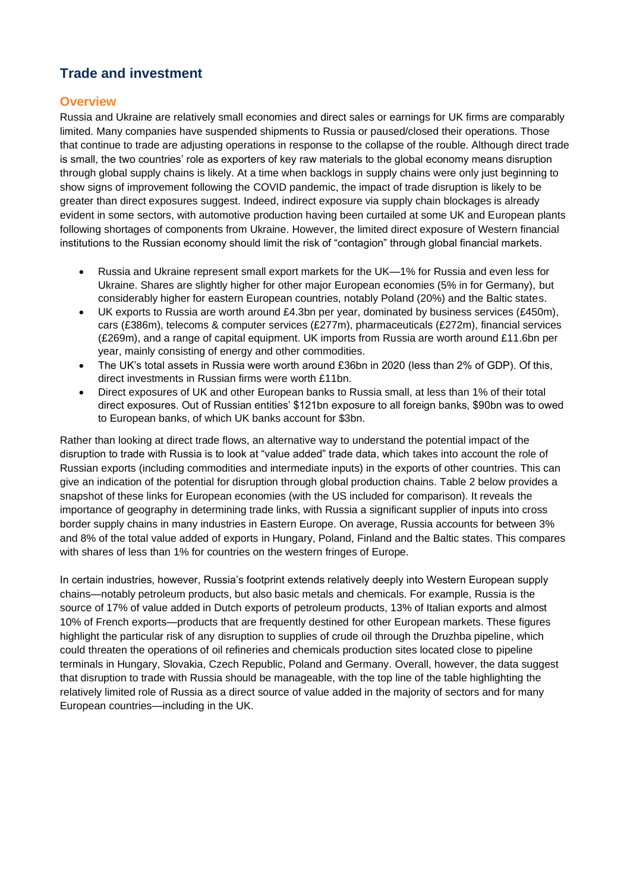# **Trade and investment**

#### **Overview**

Russia and Ukraine are relatively small economies and direct sales or earnings for UK firms are comparably limited. Many companies have suspended shipments to Russia or paused/closed their operations. Those that continue to trade are adjusting operations in response to the collapse of the rouble. Although direct trade is small, the two countries' role as exporters of key raw materials to the global economy means disruption through global supply chains is likely. At a time when backlogs in supply chains were only just beginning to show signs of improvement following the COVID pandemic, the impact of trade disruption is likely to be greater than direct exposures suggest. Indeed, indirect exposure via supply chain blockages is already evident in some sectors, with automotive production having been curtailed at some UK and European plants following shortages of components from Ukraine. However, the limited direct exposure of Western financial institutions to the Russian economy should limit the risk of "contagion" through global financial markets.

- Russia and Ukraine represent small export markets for the UK—1% for Russia and even less for Ukraine. Shares are slightly higher for other major European economies (5% in for Germany), but considerably higher for eastern European countries, notably Poland (20%) and the Baltic states.
- UK exports to Russia are worth around £4.3bn per year, dominated by business services (£450m), cars (£386m), telecoms & computer services (£277m), pharmaceuticals (£272m), financial services (£269m), and a range of capital equipment. UK imports from Russia are worth around £11.6bn per year, mainly consisting of energy and other commodities.
- The UK's total assets in Russia were worth around £36bn in 2020 (less than 2% of GDP). Of this, direct investments in Russian firms were worth £11bn.
- Direct exposures of UK and other European banks to Russia small, at less than 1% of their total direct exposures. Out of Russian entities' \$121bn exposure to all foreign banks, \$90bn was to owed to European banks, of which UK banks account for \$3bn.

Rather than looking at direct trade flows, an alternative way to understand the potential impact of the disruption to trade with Russia is to look at "value added" trade data, which takes into account the role of Russian exports (including commodities and intermediate inputs) in the exports of other countries. This can give an indication of the potential for disruption through global production chains. Table 2 below provides a snapshot of these links for European economies (with the US included for comparison). It reveals the importance of geography in determining trade links, with Russia a significant supplier of inputs into cross border supply chains in many industries in Eastern Europe. On average, Russia accounts for between 3% and 8% of the total value added of exports in Hungary, Poland, Finland and the Baltic states. This compares with shares of less than 1% for countries on the western fringes of Europe.

In certain industries, however, Russia's footprint extends relatively deeply into Western European supply chains—notably petroleum products, but also basic metals and chemicals. For example, Russia is the source of 17% of value added in Dutch exports of petroleum products, 13% of Italian exports and almost 10% of French exports—products that are frequently destined for other European markets. These figures highlight the particular risk of any disruption to supplies of crude oil through the Druzhba pipeline, which could threaten the operations of oil refineries and chemicals production sites located close to pipeline terminals in Hungary, Slovakia, Czech Republic, Poland and Germany. Overall, however, the data suggest that disruption to trade with Russia should be manageable, with the top line of the table highlighting the relatively limited role of Russia as a direct source of value added in the majority of sectors and for many European countries—including in the UK.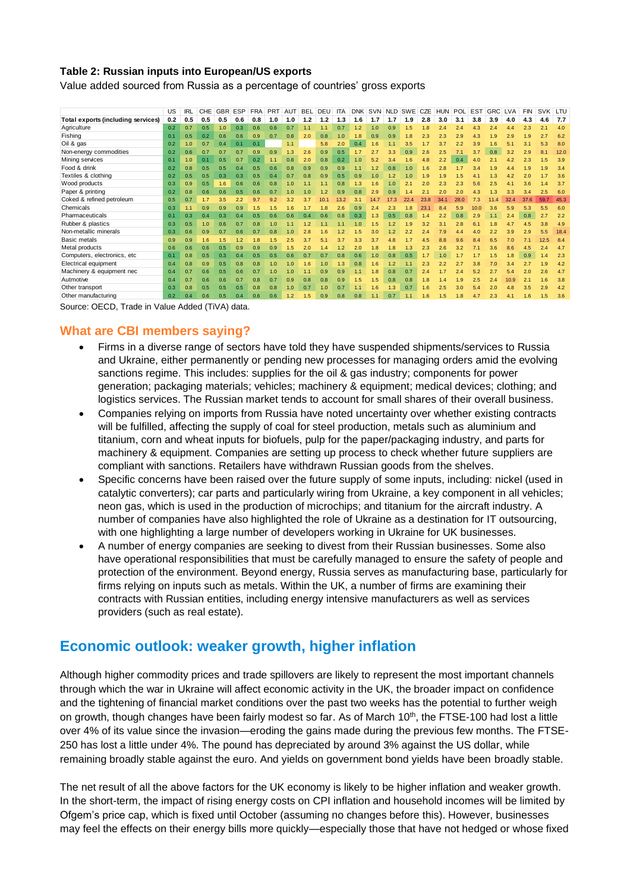#### **Table 2: Russian inputs into European/US exports**

Value added sourced from Russia as a percentage of countries' gross exports

|                                    | US  | IRL | <b>CHE</b> | <b>GBR</b> | ESP | <b>FRA</b> | <b>PRT</b> | AUT | BEL | DEU  | <b>ITA</b> | <b>DNK</b> | SVN     | <b>NLD</b>     | <b>SWE</b>   | <b>CZE</b> | <b>HUN</b> | <b>POL</b> | <b>EST</b> | <b>GRC</b> | LVA  | <b>FIN</b> | SVK LTU |      |
|------------------------------------|-----|-----|------------|------------|-----|------------|------------|-----|-----|------|------------|------------|---------|----------------|--------------|------------|------------|------------|------------|------------|------|------------|---------|------|
| Total exports (including services) | 0.2 | 0.5 | 0.5        | 0.5        | 0.6 | 0.8        | 1.0        | 1.0 | 1.2 | 1.2  | 1.3        | 1.6        | 1.7     | 1.7            | 1.9          | 2.8        | 3.0        | 3.1        | 3.8        | 3.9        | 4.0  | 4.3        | 4.6     | 7.7  |
| Agriculture                        | 0.2 | 0.7 | 0.5        | 1.0        | 0.3 | 0.6        | 0.6        | 0.7 | 1.1 |      | 0.7        | 1.2        | 1.0     | 0.9            | .5           |            |            |            |            |            |      | 2.3        | 2.1     | 4.0  |
| Fishing                            | 0.1 | 0.5 | 0.2        | 0.6        | 0.6 | 0.9        | 0.7        | 0.8 | 2.0 | 0.8  | 1.0        | 1.8        | 0.9     | 0.9            | 1.8          |            |            |            |            |            | 2.9  | 1.9        | 2.7     | 6.2  |
| Oil & gas                          | 0.2 | 1.0 | 0.7        | 0.4        | 0.1 | 0.1        |            | 1.1 |     | 5.8  | 2.0        | 0.4        | 1.6     | 1.1            | 3.5          |            | 3.7        | 2.2        | 3.9        | 1.6        | 5.1  | 3.1        | 5.3     | 8.0  |
| Non-energy commodities             | 0.2 | 0.6 | 0.7        | 0.7        | 0.7 | 0.9        | 0.9        | 1.3 | 2.6 | 0.9  | 0.5        |            | 2.7     | 3.3            | 0.9          | 2.6        | 2.5        | 7.1        | 3.7        | 0.8        | 3.2  | 2.9        | 8.1     | 12.0 |
| Mining services                    | 0.1 | 1.0 | 0.1        | 0.5        | 0.7 | 0.2        | 1.1        | 0.8 | 2.0 | 0.8  | 0.2        | 1.0        | 5.2     | 3.4            | 1.6          | 4.8        | 2.2        | 0.4        | 4.0        | 2.1        | 4.2  | 2.3        | 1.5     | 3.9  |
| Food & drink                       | 0.2 | 0.8 | 0.5        | 0.5        | 0.4 | 0.5        | 0.6        | 0.8 | 0.9 | 0.9  | 0.9        | 1.1        | $\cdot$ | 0.8            | 1.0          | 1.6        |            |            | 3.4        | 1.9        |      | 1.9        | 1.9     | 3.4  |
| Textiles & clothing                | 0.2 | 0.5 | 0.5        | 0.3        | 0.3 | 0.5        | 0.4        | 0.7 | 0.8 | 0.9  | 0.5        | 0.9        | 1.0     | 1.2            | 1.0          | 1.9        | 1.9        | 1.5        | 4.1        | 1.3        | 4.2  | 2.0        | 1.7     | 3.6  |
| Wood products                      | 0.3 | 0.9 | 0.5        | 1.6        | 0.6 | 0.6        | 0.8        | 1.0 |     | 1.1  | 0.8        | 1.3        | .6      | 1.0            | 2.5          | 2.0        | 2.3        | 2.3        | 5.6        | 2.5        | 4.1  | 3.6        | 1.4     | 3.7  |
| Paper & printing                   | 0.2 | 0.8 | 0.6        | 0.6        | 0.5 | 0.6        | 0.7        | 1.0 | 1.0 | 1.2  | 0.9        | 0.8        | 2.9     | 0.9            |              | 2.1        | 2.0        | 2.0        | 4.3        | 1.3        | 3.3  | 3.4        | 2.5     | 6.0  |
| Coked & refined petroleum          | 0.5 | 0.7 | 1.7        | 3.5        | 2.2 | 9.7        | 9.2        | 3.2 | 3.7 | 10.1 | 13.2       | 3.1        | 14.7    | 'З             | $\mathbf{A}$ | 23.8       | 34         | 28.0       |            |            | 32.4 | 37.6       | 59.7    | 45.3 |
| Chemicals                          | 0.3 | 1.1 | 0.9        | 0.9        | 0.9 | 1.5        | 1.5        | 1.6 |     | 1.8  | 2.6        | 0.9        | 2.4     | 2.3            | 1.8          | 23.1       | 8.4        | 5.9        | 10.0       | 3.6        | 5.9  | 5.3        | 5.5     | 6.0  |
| Pharmaceuticals                    | 0.1 | 0.3 | 0.4        | 0.3        | 0.4 | 0.5        | 0.6        | 0.6 | 0.4 | 0.6  | 0.8        | 0.3        | 1.3     | 0.5            | 0.8          | 1.4        | 2.2        | 0.8        | 2.9        | 1.1        | 2.4  | 0.8        | 2.7     | 2.2  |
| Rubber & plastics                  | 0.3 | 0.5 | 1.0        | 0.6        | 0.7 | 0.8        | 1.0        |     | 1.2 |      |            |            | .5      |                |              |            |            | 2.8        |            |            |      | 4.5        | 3.8     | 4.9  |
| Non-metallic minerals              | 0.3 | 0.6 | 0.9        | 0.7        | 0.6 | 0.7        | 0.8        | 1.0 | 2.8 | 1.6  | 1.2        |            | 3.0     | $\overline{2}$ | 2.2          | 2.4        | 7.9        | 4.4        | 4.0        | 2.2        | 3.9  | 2.9        | 5.5     | 18.4 |
| Basic metals                       | 0.9 | 0.9 | 1.6        | 1.5        | 1.2 | 1.8        | 1.5        | 2.5 | 3.7 | 5.1  | 3.7        |            | 3.7     |                |              |            |            |            |            | 6.5        |      |            | 12.5    | 8.4  |
| Metal products                     | 0.6 | 0.6 | 0.6        | 0.5        | 0.9 | 0.9        | 0.9        | .5  | 2.0 |      | 1.2        | 2.0        | .8      | 1.8            | 1.3          | 2.3        | 2.6        | 3.2        | 7.1        | 3.6        | 8.6  | 4.5        | 2.4     | 4.7  |
| Computers, electronics, etc        | 0.1 | 0.8 | 0.5        | 0.3        | 0.4 | 0.5        | 0.5        | 0.6 | 0.7 | 0.7  | 0.8        | 0.6        | 1.0     | 0.8            | 0.5          | 1.7        | 1.0        |            |            | 1.5        | 1.8  | 0.9        | l .4    | 2.3  |
| Electrical equipment               | 0.4 | 0.8 | 0.9        | 0.5        | 0.8 | 0.8        | 1.0        | 1.0 | 1.6 | 1.0  | 1.3        | 0.8        | .6      | 1.2            | 1.1          | 2.3        | 2.2        | 2.7        | 3.8        | 7.0        | 3.4  | 2.7        | 1.9     | 4.2  |
| Machinery & equipment nec          | 0.4 | 0.7 | 0.6        | 0.5        | 0.6 | 0.7        | 1.0        | 1.0 |     | 0.9  | 0.9        | 1.1        | .8      | 0.8            | 0.7          | 2.4        |            | 2.4        | 5.2        | 2.7        |      | 2.0        | 2.6     | 4.7  |
| Autmotive                          | 0.4 |     | 0.6        | 0.6        | 0.7 | 0.8        | 0.7        | 0.9 | 0.8 | 0.8  | 0.9        | 1.5        | .5      | 0.8            | 0.8          |            |            | 1.9        | 2.5        | 2.4        | 10.9 | 2.1        | 1.6     | 3.8  |
| Other transport                    | 0.3 | 0.8 | 0.5        | 0.5        | 0.5 | 0.8        | 0.8        | 1.0 | 0.7 | 1.0  | 0.7        | 1.1        | 1.6     | 1.3            | 0.7          | 1.6        | 2.5        | 3.0        | 5.4        | 2.0        | 4.8  | 3.5        | 2.9     | 4.2  |
| Other manufacturing                | 0.2 | 0.4 | 0.6        | 0.5        | 0.4 | 0.6        | 0.6        | 1.2 | 1.5 | 0.9  | 0.8        | 0.8        |         | 0.7            |              | 1.6        | 1.5        | 1.8        | 4.7        | 2.3        | 4.1  | 1.6        | 1.5     | 3.6  |

Source: OECD, Trade in Value Added (TiVA) data.

#### **What are CBI members saying?**

- Firms in a diverse range of sectors have told they have suspended shipments/services to Russia and Ukraine, either permanently or pending new processes for managing orders amid the evolving sanctions regime. This includes: supplies for the oil & gas industry; components for power generation; packaging materials; vehicles; machinery & equipment; medical devices; clothing; and logistics services. The Russian market tends to account for small shares of their overall business.
- Companies relying on imports from Russia have noted uncertainty over whether existing contracts will be fulfilled, affecting the supply of coal for steel production, metals such as aluminium and titanium, corn and wheat inputs for biofuels, pulp for the paper/packaging industry, and parts for machinery & equipment. Companies are setting up process to check whether future suppliers are compliant with sanctions. Retailers have withdrawn Russian goods from the shelves.
- Specific concerns have been raised over the future supply of some inputs, including: nickel (used in catalytic converters); car parts and particularly wiring from Ukraine, a key component in all vehicles; neon gas, which is used in the production of microchips; and titanium for the aircraft industry. A number of companies have also highlighted the role of Ukraine as a destination for IT outsourcing, with one highlighting a large number of developers working in Ukraine for UK businesses.
- A number of energy companies are seeking to divest from their Russian businesses. Some also have operational responsibilities that must be carefully managed to ensure the safety of people and protection of the environment. Beyond energy, Russia serves as manufacturing base, particularly for firms relying on inputs such as metals. Within the UK, a number of firms are examining their contracts with Russian entities, including energy intensive manufacturers as well as services providers (such as real estate).

## **Economic outlook: weaker growth, higher inflation**

Although higher commodity prices and trade spillovers are likely to represent the most important channels through which the war in Ukraine will affect economic activity in the UK, the broader impact on confidence and the tightening of financial market conditions over the past two weeks has the potential to further weigh on growth, though changes have been fairly modest so far. As of March 10<sup>th</sup>, the FTSE-100 had lost a little over 4% of its value since the invasion—eroding the gains made during the previous few months. The FTSE-250 has lost a little under 4%. The pound has depreciated by around 3% against the US dollar, while remaining broadly stable against the euro. And yields on government bond yields have been broadly stable.

The net result of all the above factors for the UK economy is likely to be higher inflation and weaker growth. In the short-term, the impact of rising energy costs on CPI inflation and household incomes will be limited by Ofgem's price cap, which is fixed until October (assuming no changes before this). However, businesses may feel the effects on their energy bills more quickly—especially those that have not hedged or whose fixed